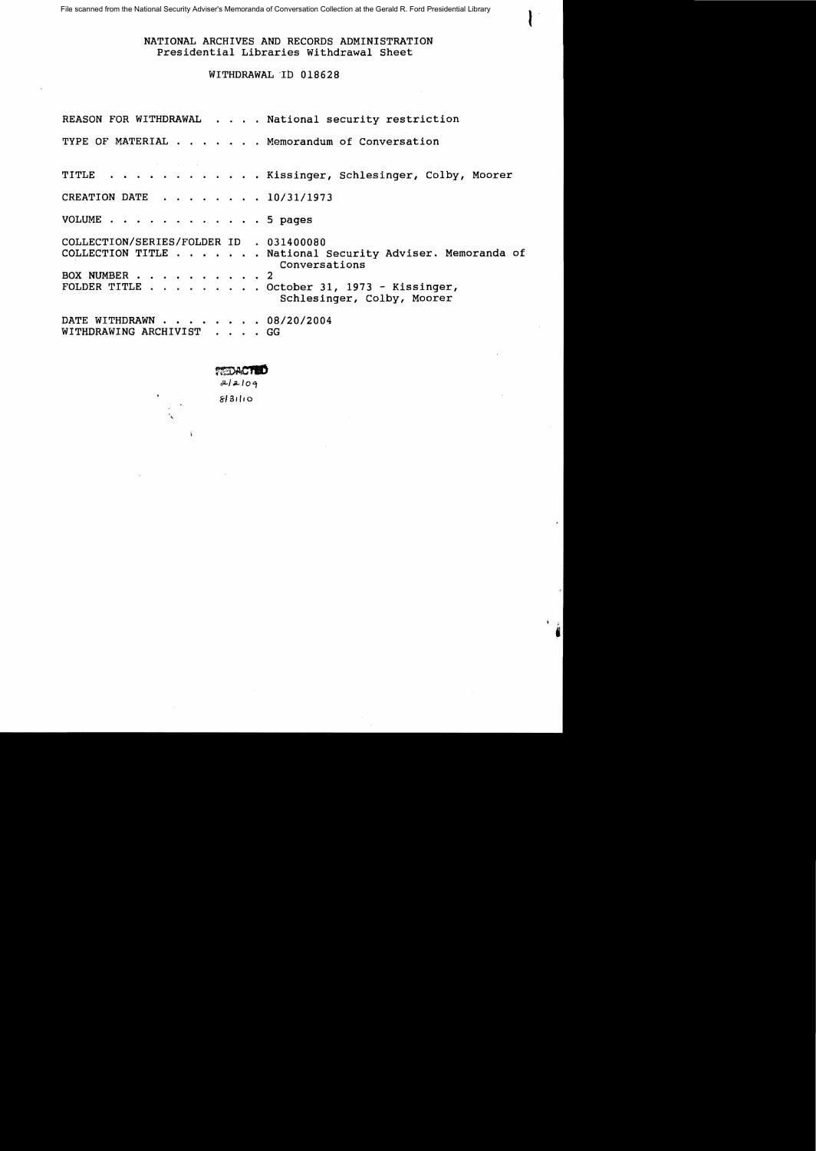File scanned from the National Security Adviser's Memoranda of Conversation Collection at the Gerald R. Ford Presidential Library

# NATIONAL ARCHIVES AND RECORDS ADMINISTRATION Presidential Libraries Withdrawal Sheet

I

## WITHDRAWAL ~Ib 018628

|                                                       | REASON FOR WITHDRAWAL National security restriction                       |
|-------------------------------------------------------|---------------------------------------------------------------------------|
|                                                       | TYPE OF MATERIAL Memorandum of Conversation                               |
|                                                       | TITLE Kissinger, Schlesinger, Colby, Moorer                               |
| CREATION DATE 10/31/1973                              |                                                                           |
| VOLUME 5 pages                                        |                                                                           |
| COLLECTION/SERIES/FOLDER ID . 031400080               | COLLECTION TITLE National Security Adviser. Memoranda of<br>Conversations |
| BOX NUMBER 2                                          | FOLDER TITLE October 31, 1973 - Kissinger,<br>Schlesinger, Colby, Moorer  |
| DATE WITHDRAWN 08/20/2004<br>WITHDRAWING ARCHIVIST GG |                                                                           |

 $\sum_{\substack{a \mid a \mid b \mid a}}$ 

CiI-/.;..lo *'1* 

8/31/,0

-5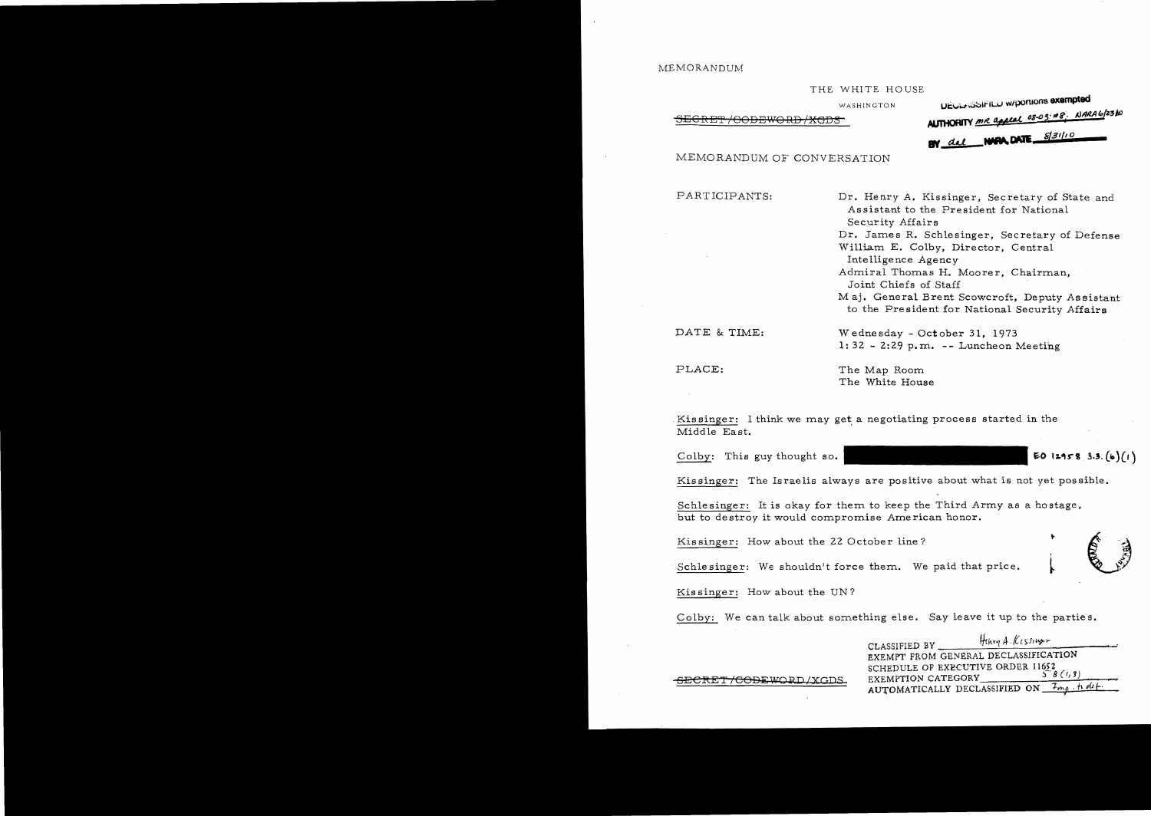## MEMORANDUM

### THE WHITE HOUSE

### AUJHORtTY /lite .,g-03' *tit?,. AJMA,,/Z,3Ji)* -SECRET /OODEVlO RD /XGD3

| WASHINGTON | <b>DECENSSIFIED w/portions exempted</b>         |
|------------|-------------------------------------------------|
|            | <b>AUTHORITY</b> me appeal 08-03-48. NARA6/2310 |
|            | BY del NARA, DATE 8/31/10                       |

MEMORANDUM OF CONVERSATION

PARTICIPANTS: Dr. Henry A. Kissinger, Secretary of State and Assistant to the President for National Security Affairs Dr. James R. Schlesinger, Secretary of Defense William E. Colby, Director, Central Intelligence Agency Admiral Thomas H. Moorer, Chairman, Joint Chiefs of Staff Maj. General Brent Scowcroft, Deputy Assistant to the Pre sident for National Security Affairs

 $1: 32 - 2:29$  p.m. -- Luncheon Meeting

DATE & TIME: Wednesday - October 31, 1973

PLACE: The Map Room The White House

Kissinger: I think we may get a negotiating process started in the Middle East.

Colby: This guy thought so.  $\blacksquare$ 

Kissinger: The Israelis always are positive about what is not yet possible.

Schlesinger: It is okay for them to keep the Third Army as a hostage, but to de stroy it would compromise Ame rican honor.

Kissinger: How about the 22 October line?

Schlesinger: We shouldn't force them. We paid that price.

Kissinger: How about the UN?

Colby: We can talk about something else. Say leave it up to the parties.

CLASSIFIED BY Hthey A. Kissings EXEMPT FROM GENERAL DECLASSlFICATION SCHEDULE OF EXECUTIVE ORDER 11652 SECRET/CODEWORD/XGDS. EXEMPTION CATEGORY AUTOMATICALLY DECLASSIFIED ON *I<sub>ma</sub>* holt

, ·-~~;,,·· .:>'"

5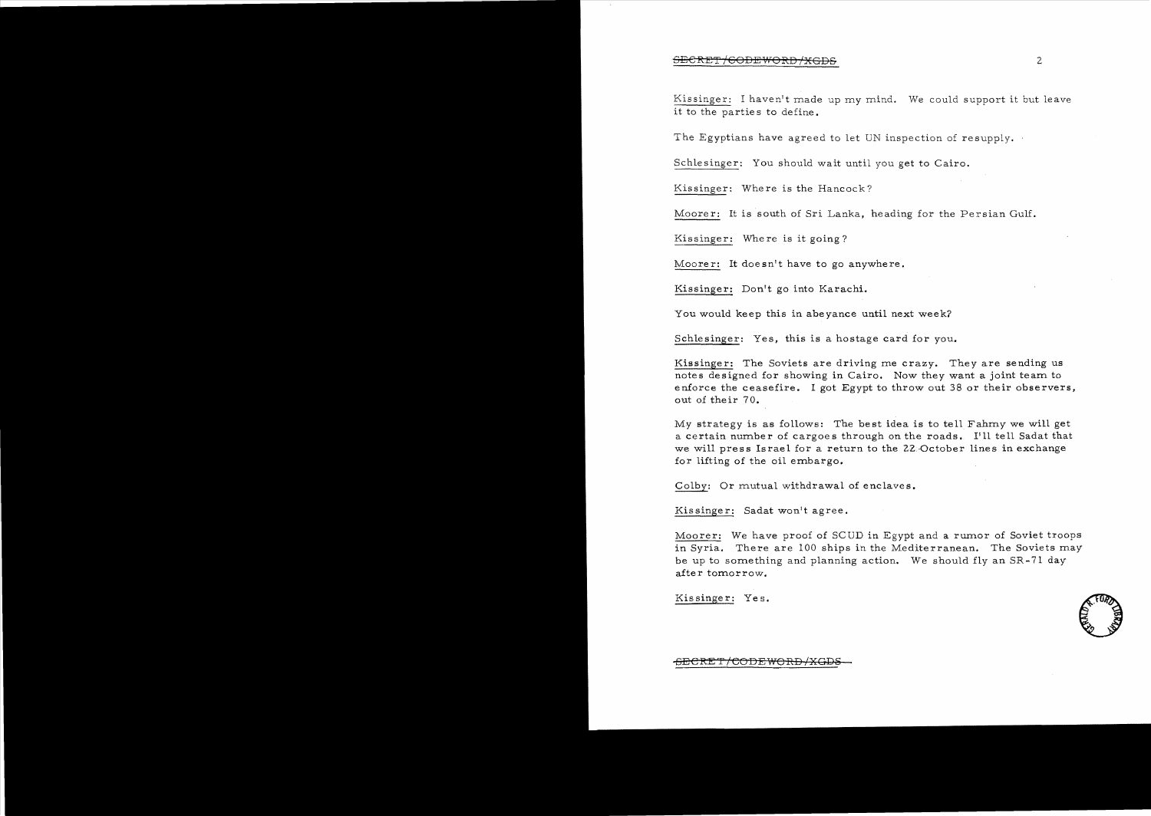### $\overline{\rm SEGRET/GODEWORD/XGDS}$  2.

Kissinger: I haven't made up my mind. We could support it but leave it to the parties to define.

The Egyptians have agreed to let UN inspection of resupply.

Schlesinger: You should wait until you get to Cairo.

Kissinger: Where is the Hancock?

Moorer: It is south of Sri Lanka, heading for the Persian Gulf.

Kissinger: Where is it going?

Moorer: It doesn't have to go anywhere.

Kissinger: Don't go into Karachi.

You would keep this in abeyance until next week?

Schlesinger: Yes, this is a hostage card for you.

Kissinger: The Soviets are driving me crazy. They are sending us notes designed for showing in Cairo. Now they want a joint team to enforce the ceasefire. I got Egypt to throw out 38 or their observers, out of their 70.

My strategy is as follows: The best idea is to tell Fahmy we will get a certain number of cargoes through on the roads. I'll tell Sadat that we will press Israel for a return to the 22. October lines in exchange for lifting of the oil embargo.

Colby: Or mutual withdrawal of enclaves.

Kissinger: Sadat won't agree.

Moorer: We have proof of SCUD in Egypt and a rumor of Soviet troops in Syria. There are 100 ships in the Mediterranean. The Soviets may be up to something and planning action. We should fly an SR -71 day after tomorrow.

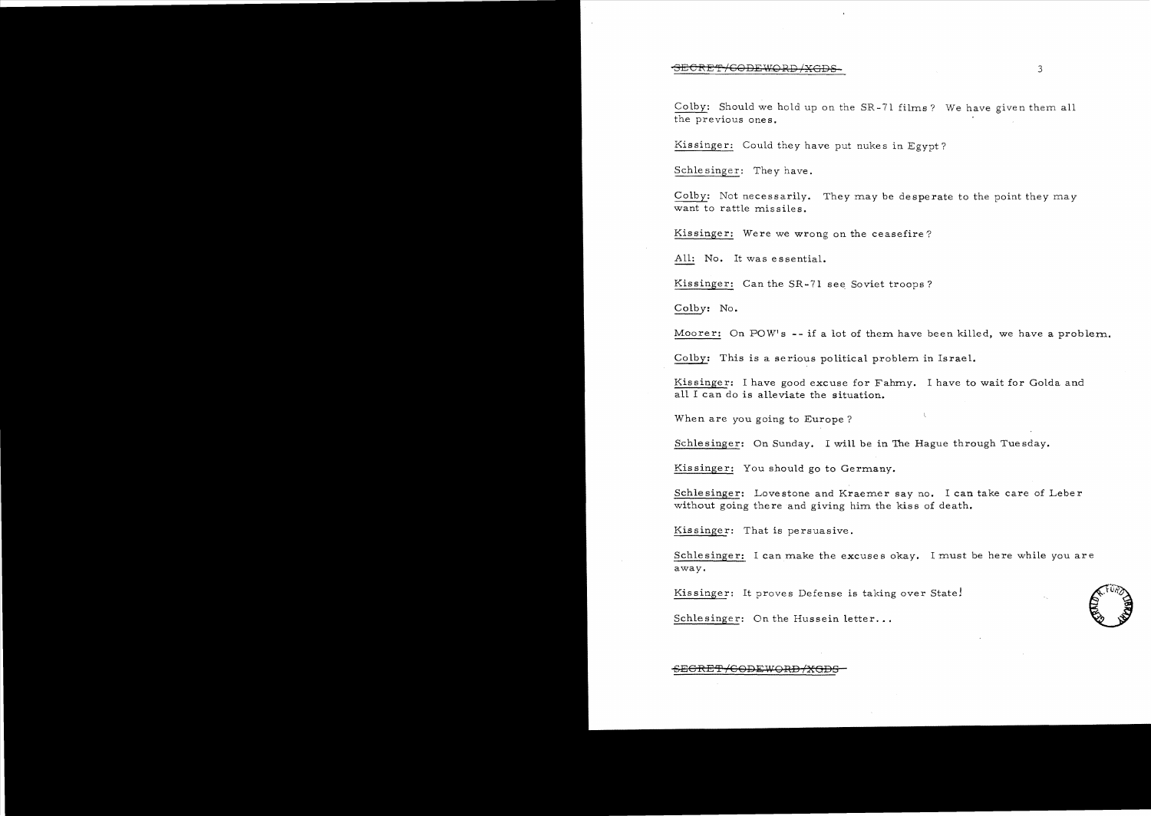#### SE<del>CRET/GODEWORD/XGDS.</del> 33

Colby; Should we hold up on the SR-71 films? We have given them all the previous ones.

Kissinger: Could they have put nukes in Egypt?

Schlesinger: They have.

Colby: Not necessarily. They may be desperate to the point they may want to rattle missiles.

Kissinger: Were we wrong on the ceasefire?

All: No. It was essential.

Kissinger: Can the SR-71 see Soviet troops?

Colby; No.

Moorer: On POW's -- if a lot of them have been killed, we have a problem.

Colby; This is a serious political problem in Israel.

Kissinger; I have good excuse for Fahrny. I have to wait for Golda and all I can do is alleviate the situation.

When are you going to Europe?

Schlesinger: On Sunday, I will be in 'The Hague through Tuesday.

Kissinger: You should go to Germany.

Schlesinger: Lovestone and Kraemer say no. I can take care of Leber without going there and giving him the kiss of death.

Kissinger: That is persuasive.

Schlesinger: I can make the excuses okay, I must be here while you are away.

Kissinger: It proves Defense is taking over Statel



Schlesinger: On the Hussein letter...

## <del>SECRET/CODEWORD/XGDS</del>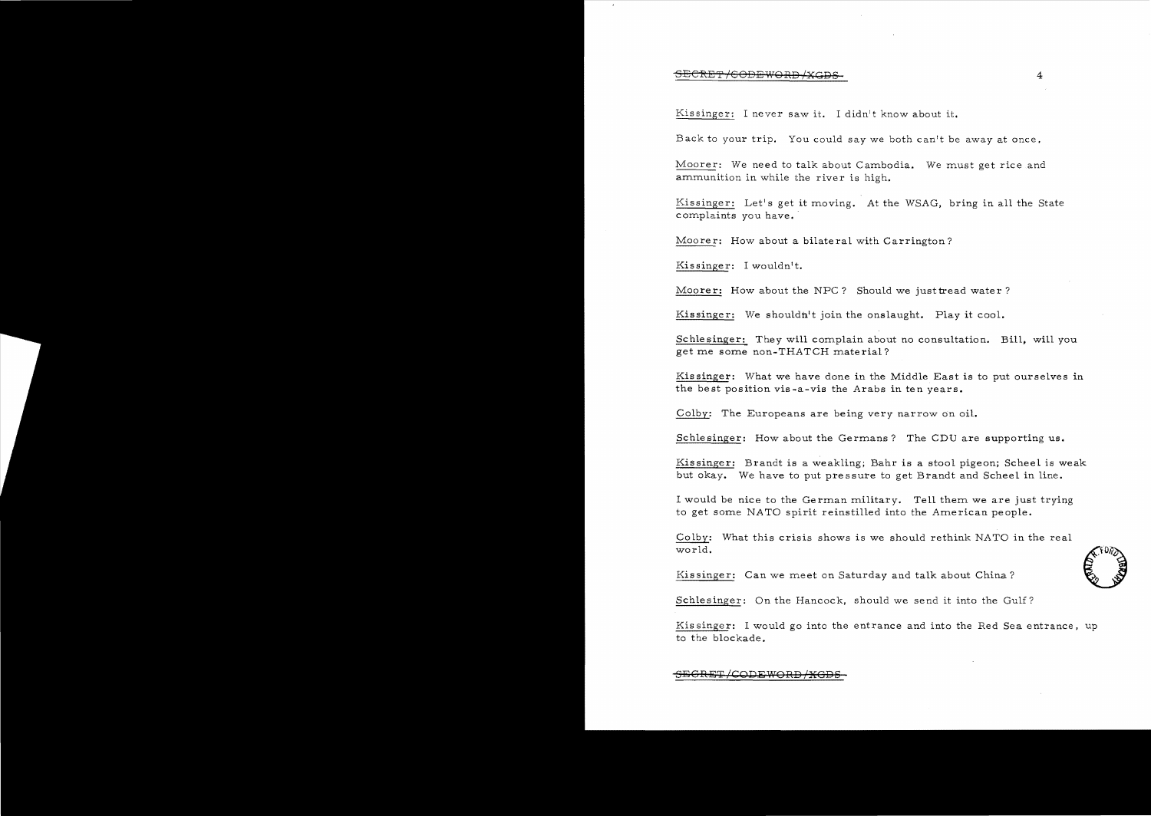## $\overline{\text{SECRET/GODEFWORD+XGDS-}}$  4

Kissinger: I never saw it. I didn't know about it.

Back to your trip. You could say we both can't be away at once.

Moorer: We need to talk about Cambodia. We must get rice and ammunition in while the river is

Kissinger: Let's get it moving. At the WSAG, bring in all the State complaints you have.

Moorer: How about a bilateral with Carrington?

Kissinger: I wouldn't.

Moorer: How about the NPC? Should we just tread water?

Kissinger: We shouldn't join the onslaught. Play it cool.

Schlesinger: They will complain about no consultation. Bill, will you get me some non-THATCH material?

Kissinger: What we have done in the Middle East is to put ourselves in the best position vis-a-vis the Arabs in ten years.

Colby: The Europeans are being very narrow on oil.

Schlesinger: How about the Germans? The CDU are supporting us.

Kissinger: Brandt is a weakling; Bahr is a stool pigeon; Scheel is weak but okay. We have to put pressure to get Brandt and Scheel in line.

<sup>I</sup>would be nice to the German military. Tell them we are just trying to get some NATO spirit reinstilled into the American people.

Colby: What this crisis shows is we should rethink NATO in the real world.  $\leftarrow$   $\leftarrow$   $\leftarrow$   $\leftarrow$   $\leftarrow$   $\leftarrow$   $\leftarrow$   $\leftarrow$   $\leftarrow$   $\leftarrow$   $\leftarrow$   $\leftarrow$   $\leftarrow$   $\leftarrow$   $\leftarrow$   $\leftarrow$   $\leftarrow$   $\leftarrow$   $\leftarrow$   $\leftarrow$   $\leftarrow$   $\leftarrow$   $\leftarrow$   $\leftarrow$   $\leftarrow$   $\leftarrow$   $\leftarrow$   $\leftarrow$   $\leftarrow$   $\leftarrow$   $\leftarrow$   $\leftarrow$   $\leftarrow$   $\leftarrow$   $\leftarrow$   $\leftarrow$ 

Kissinger: Can we meet on Saturday and talk about China?

Schlesinger: On the Hancock, should we send it into the Gulf?

Kissinger: I would go into the entrance and into the Red Sea entrance, up to the blockade.

SEGRET/CODEWORD/<del>XGD</del>

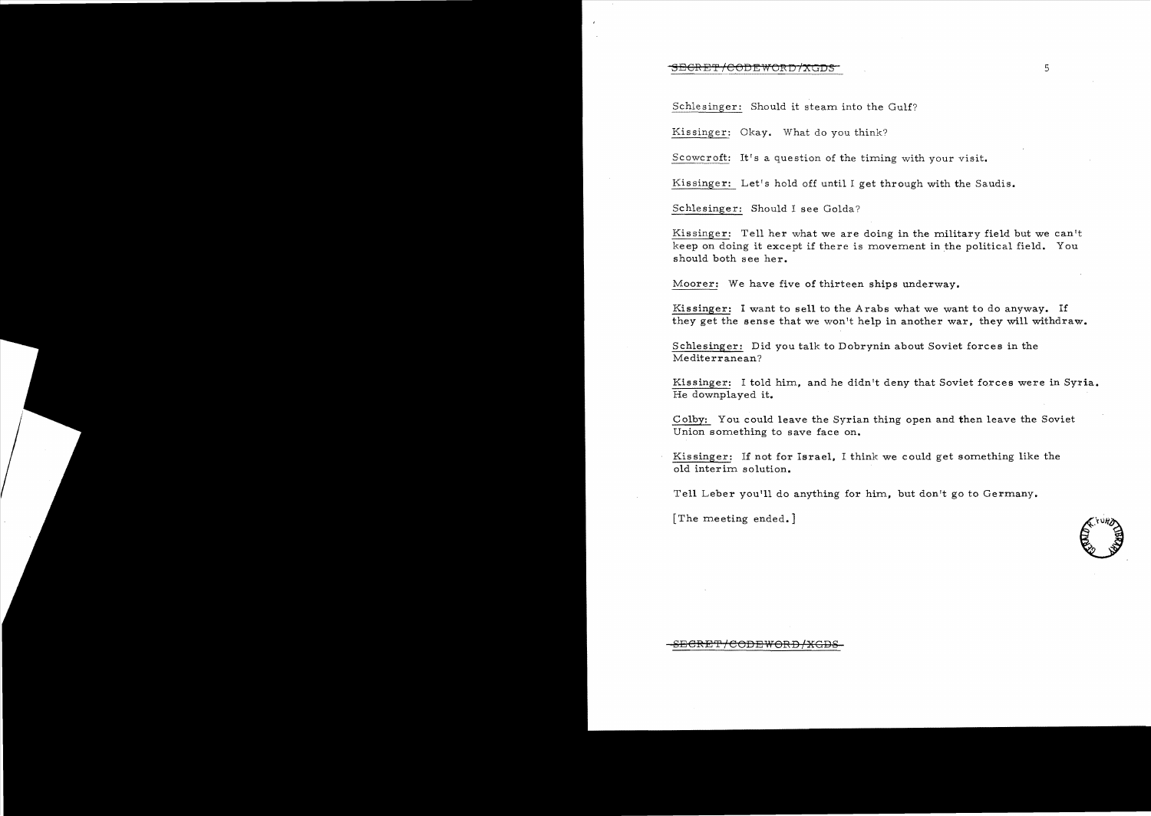## 8ECRET/CODEWORD/XGDS<sup>-</sup>in formulation of the state of the state of the state of the state of the state of the state of the state of the state of the state of the state of the state of the state of the state of the state of

Schlesinger: Should it steam into the Gulf?

Kissinger: Okay. What do you think?

Scowcroft: It's a question of the timing with your visit.

Kissinger: Let's hold off until I get through with the Saudis.

Schlesinger: Should I see Golda?

Kissinger: Tell her what we are doing in the military field but we can't keep on doing it except if there is rnovernent in the political field. You should both see her.

Moorer: We have five of thirteen ships underway.

Kissinger: I want to sell to the Arabs what we want to do anyway. If they get the sense that we won't help in another war, they will withdraw.

Schlesinger: Did you talk to Dobrynin about Soviet forces in the Mediterranean?

Kissinger: I told hirn, and he didn't deny that Soviet forces were in Syria. He downplayed it.

Colby: You could leave the Syrian thing open and then leave the Soviet Union something to save face on.

Kissinger: If not for Israel, I think we could get something like the old interim solution.

Tell Leber you'll do anything for him, but don't go to Germany.

[The meeting ended.]



<del>SECRET/CODEWORD/XGDS</del>